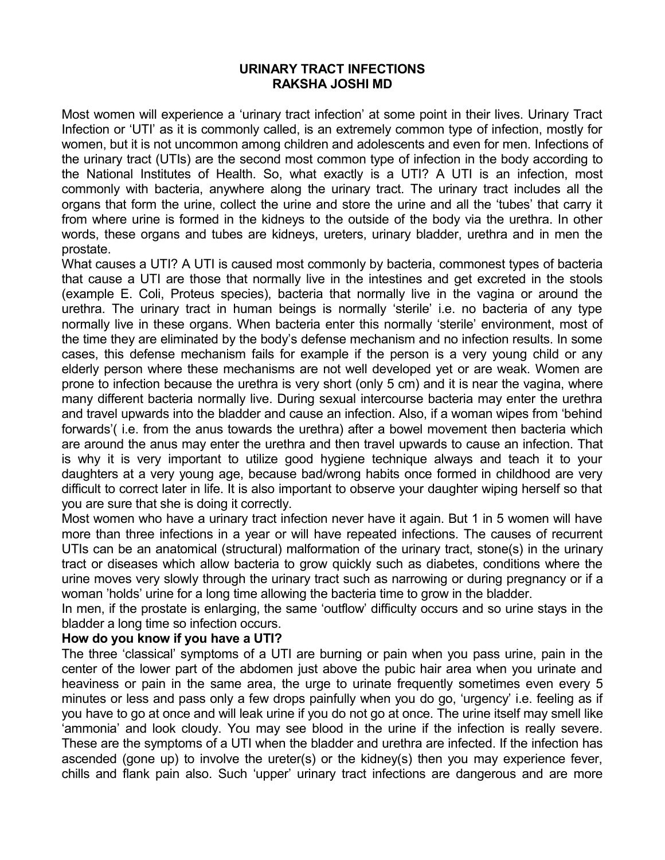## **URINARY TRACT INFECTIONS RAKSHA JOSHI MD**

Most women will experience a 'urinary tract infection' at some point in their lives. Urinary Tract Infection or 'UTI' as it is commonly called, is an extremely common type of infection, mostly for women, but it is not uncommon among children and adolescents and even for men. Infections of the urinary tract (UTIs) are the second most common type of infection in the body according to the National Institutes of Health. So, what exactly is a UTI? A UTI is an infection, most commonly with bacteria, anywhere along the urinary tract. The urinary tract includes all the organs that form the urine, collect the urine and store the urine and all the 'tubes' that carry it from where urine is formed in the kidneys to the outside of the body via the urethra. In other words, these organs and tubes are kidneys, ureters, urinary bladder, urethra and in men the prostate.

What causes a UTI? A UTI is caused most commonly by bacteria, commonest types of bacteria that cause a UTI are those that normally live in the intestines and get excreted in the stools (example E. Coli, Proteus species), bacteria that normally live in the vagina or around the urethra. The urinary tract in human beings is normally 'sterile' i.e. no bacteria of any type normally live in these organs. When bacteria enter this normally 'sterile' environment, most of the time they are eliminated by the body's defense mechanism and no infection results. In some cases, this defense mechanism fails for example if the person is a very young child or any elderly person where these mechanisms are not well developed yet or are weak. Women are prone to infection because the urethra is very short (only 5 cm) and it is near the vagina, where many different bacteria normally live. During sexual intercourse bacteria may enter the urethra and travel upwards into the bladder and cause an infection. Also, if a woman wipes from 'behind forwards'( i.e. from the anus towards the urethra) after a bowel movement then bacteria which are around the anus may enter the urethra and then travel upwards to cause an infection. That is why it is very important to utilize good hygiene technique always and teach it to your daughters at a very young age, because bad/wrong habits once formed in childhood are very difficult to correct later in life. It is also important to observe your daughter wiping herself so that you are sure that she is doing it correctly.

Most women who have a urinary tract infection never have it again. But 1 in 5 women will have more than three infections in a year or will have repeated infections. The causes of recurrent UTIs can be an anatomical (structural) malformation of the urinary tract, stone(s) in the urinary tract or diseases which allow bacteria to grow quickly such as diabetes, conditions where the urine moves very slowly through the urinary tract such as narrowing or during pregnancy or if a woman 'holds' urine for a long time allowing the bacteria time to grow in the bladder.

In men, if the prostate is enlarging, the same 'outflow' difficulty occurs and so urine stays in the bladder a long time so infection occurs.

## **How do you know if you have a UTI?**

The three 'classical' symptoms of a UTI are burning or pain when you pass urine, pain in the center of the lower part of the abdomen just above the pubic hair area when you urinate and heaviness or pain in the same area, the urge to urinate frequently sometimes even every 5 minutes or less and pass only a few drops painfully when you do go, 'urgency' i.e. feeling as if you have to go at once and will leak urine if you do not go at once. The urine itself may smell like 'ammonia' and look cloudy. You may see blood in the urine if the infection is really severe. These are the symptoms of a UTI when the bladder and urethra are infected. If the infection has ascended (gone up) to involve the ureter(s) or the kidney(s) then you may experience fever, chills and flank pain also. Such 'upper' urinary tract infections are dangerous and are more